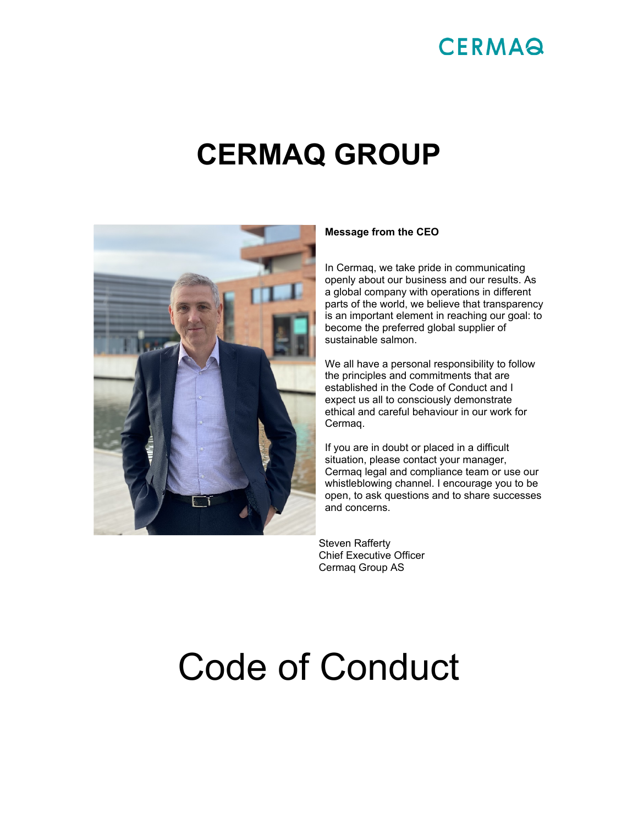## **CERMAQ**

## **CERMAQ GROUP**



#### **Message from the CEO**

In Cermaq, we take pride in communicating openly about our business and our results. As a global company with operations in different parts of the world, we believe that transparency is an important element in reaching our goal: to become the preferred global supplier of sustainable salmon.

We all have a personal responsibility to follow the principles and commitments that are established in the Code of Conduct and I expect us all to consciously demonstrate ethical and careful behaviour in our work for Cermaq.

If you are in doubt or placed in a difficult situation, please contact your manager, Cermaq legal and compliance team or use our whistleblowing channel. I encourage you to be open, to ask questions and to share successes and concerns.

Steven Rafferty Chief Executive Officer Cermaq Group AS

# Code of Conduct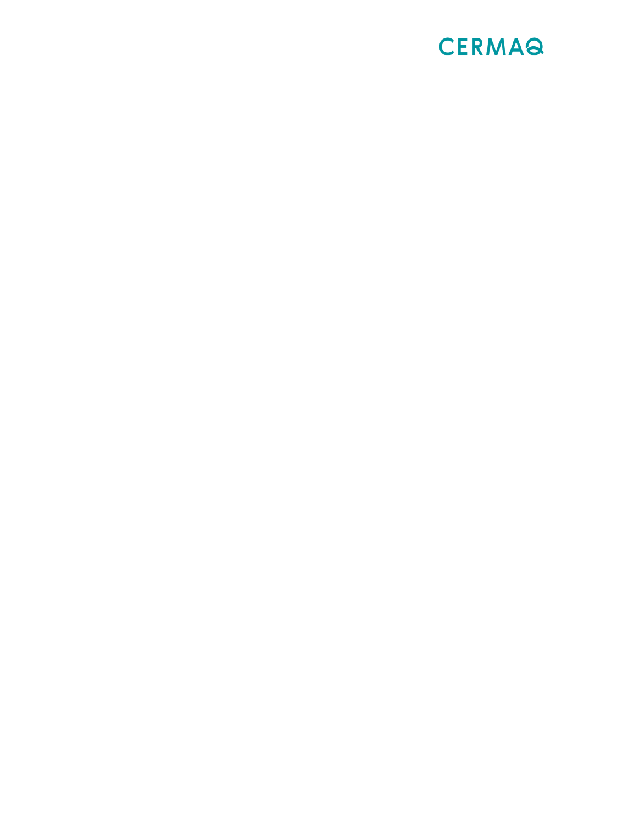## CERMAQ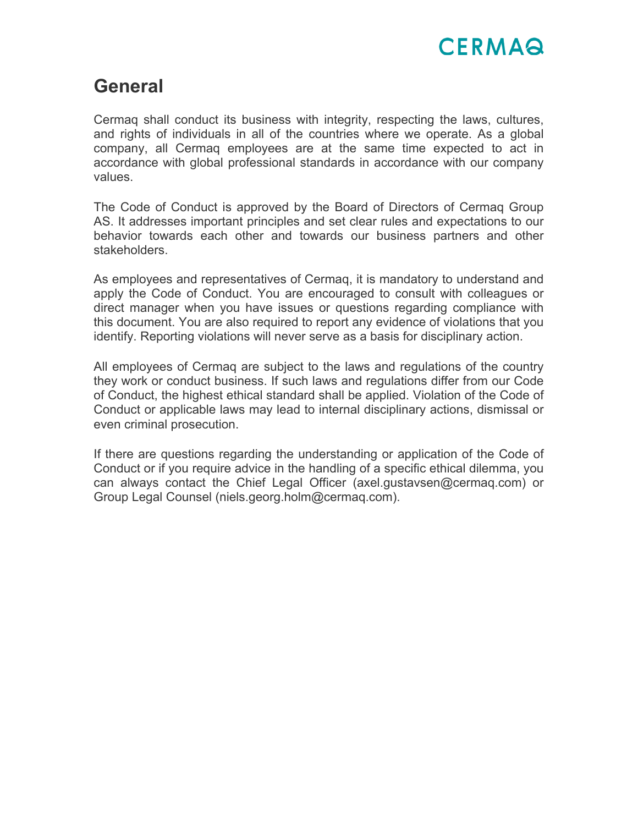

### **General**

Cermaq shall conduct its business with integrity, respecting the laws, cultures, and rights of individuals in all of the countries where we operate. As a global company, all Cermaq employees are at the same time expected to act in accordance with global professional standards in accordance with our company values.

The Code of Conduct is approved by the Board of Directors of Cermaq Group AS. It addresses important principles and set clear rules and expectations to our behavior towards each other and towards our business partners and other stakeholders.

As employees and representatives of Cermaq, it is mandatory to understand and apply the Code of Conduct. You are encouraged to consult with colleagues or direct manager when you have issues or questions regarding compliance with this document. You are also required to report any evidence of violations that you identify. Reporting violations will never serve as a basis for disciplinary action.

All employees of Cermaq are subject to the laws and regulations of the country they work or conduct business. If such laws and regulations differ from our Code of Conduct, the highest ethical standard shall be applied. Violation of the Code of Conduct or applicable laws may lead to internal disciplinary actions, dismissal or even criminal prosecution.

If there are questions regarding the understanding or application of the Code of Conduct or if you require advice in the handling of a specific ethical dilemma, you can always contact the Chief Legal Officer ([axel.gustavsen@cermaq.com\)](mailto:axel.gustavsen@cermaq.com) or Group Legal Counsel (niels.georg.holm@cermaq.com).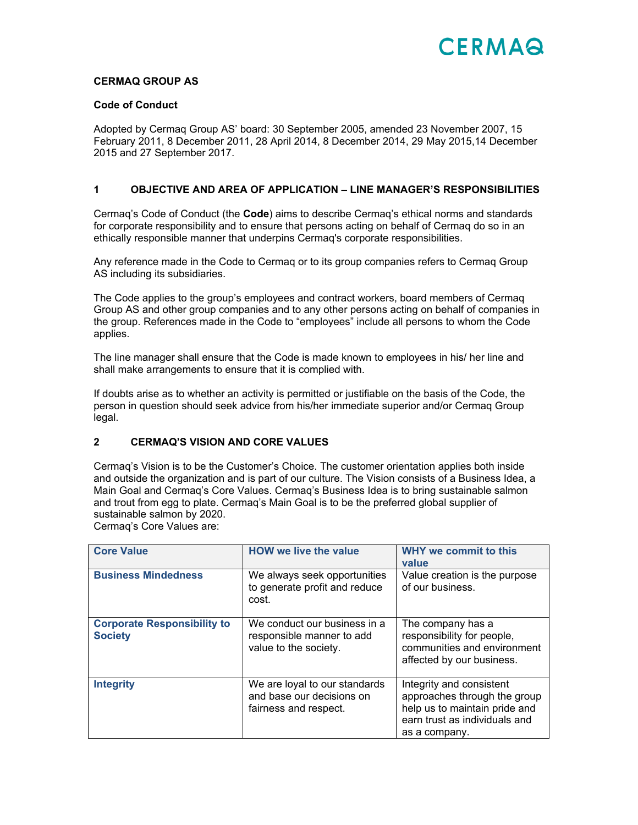

#### **CERMAQ GROUP AS**

#### **Code of Conduct**

Adopted by Cermaq Group AS' board: 30 September 2005, amended 23 November 2007, 15 February 2011, 8 December 2011, 28 April 2014, 8 December 2014, 29 May 2015,14 December 2015 and 27 September 2017.

#### **1 OBJECTIVE AND AREA OF APPLICATION – LINE MANAGER'S RESPONSIBILITIES**

Cermaq's Code of Conduct (the **Code**) aims to describe Cermaq's ethical norms and standards for corporate responsibility and to ensure that persons acting on behalf of Cermaq do so in an ethically responsible manner that underpins Cermaq's corporate responsibilities.

Any reference made in the Code to Cermaq or to its group companies refers to Cermaq Group AS including its subsidiaries.

The Code applies to the group's employees and contract workers, board members of Cermaq Group AS and other group companies and to any other persons acting on behalf of companies in the group. References made in the Code to "employees" include all persons to whom the Code applies.

The line manager shall ensure that the Code is made known to employees in his/ her line and shall make arrangements to ensure that it is complied with.

If doubts arise as to whether an activity is permitted or justifiable on the basis of the Code, the person in question should seek advice from his/her immediate superior and/or Cermaq Group legal.

#### **2 CERMAQ'S VISION AND CORE VALUES**

Cermaq's Vision is to be the Customer's Choice. The customer orientation applies both inside and outside the organization and is part of our culture. The Vision consists of a Business Idea, a Main Goal and Cermaq's Core Values. Cermaq's Business Idea is to bring sustainable salmon and trout from egg to plate. Cermaq's Main Goal is to be the preferred global supplier of sustainable salmon by 2020.

Cermaq's Core Values are:

| <b>Core Value</b>                                    | <b>HOW we live the value</b>                                                        | <b>WHY we commit to this</b><br>value                                                                                                       |
|------------------------------------------------------|-------------------------------------------------------------------------------------|---------------------------------------------------------------------------------------------------------------------------------------------|
| <b>Business Mindedness</b>                           | We always seek opportunities<br>to generate profit and reduce<br>cost.              | Value creation is the purpose<br>of our business.                                                                                           |
| <b>Corporate Responsibility to</b><br><b>Society</b> | We conduct our business in a<br>responsible manner to add<br>value to the society.  | The company has a<br>responsibility for people,<br>communities and environment<br>affected by our business.                                 |
| <b>Integrity</b>                                     | We are loyal to our standards<br>and base our decisions on<br>fairness and respect. | Integrity and consistent<br>approaches through the group<br>help us to maintain pride and<br>earn trust as individuals and<br>as a company. |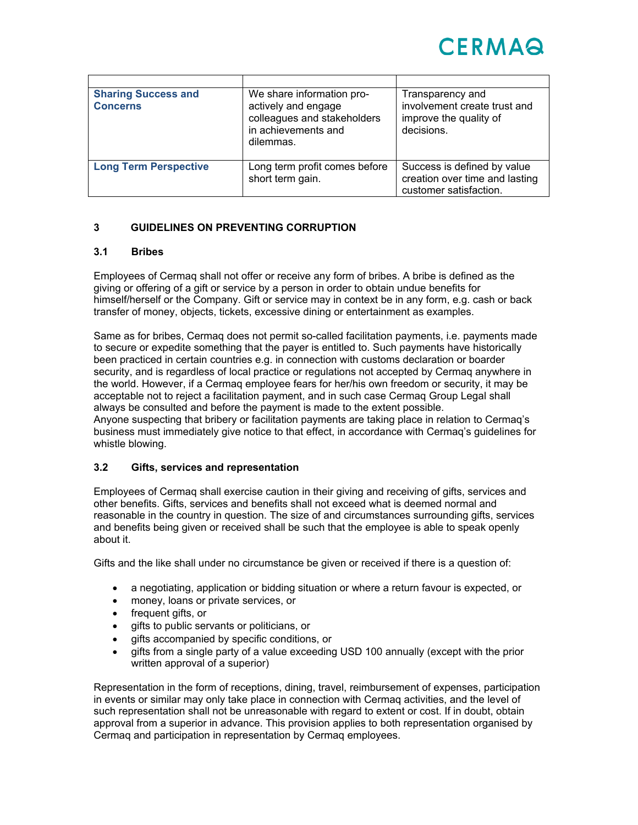

| <b>Sharing Success and</b><br><b>Concerns</b> | We share information pro-<br>actively and engage<br>colleagues and stakeholders<br>in achievements and<br>dilemmas. | Transparency and<br>involvement create trust and<br>improve the quality of<br>decisions. |
|-----------------------------------------------|---------------------------------------------------------------------------------------------------------------------|------------------------------------------------------------------------------------------|
| <b>Long Term Perspective</b>                  | Long term profit comes before<br>short term gain.                                                                   | Success is defined by value<br>creation over time and lasting<br>customer satisfaction.  |

#### **3 GUIDELINES ON PREVENTING CORRUPTION**

#### **3.1 Bribes**

Employees of Cermaq shall not offer or receive any form of bribes. A bribe is defined as the giving or offering of a gift or service by a person in order to obtain undue benefits for himself/herself or the Company. Gift or service may in context be in any form, e.g. cash or back transfer of money, objects, tickets, excessive dining or entertainment as examples.

Same as for bribes, Cermaq does not permit so-called facilitation payments, i.e. payments made to secure or expedite something that the payer is entitled to. Such payments have historically been practiced in certain countries e.g. in connection with customs declaration or boarder security, and is regardless of local practice or regulations not accepted by Cermaq anywhere in the world. However, if a Cermaq employee fears for her/his own freedom or security, it may be acceptable not to reject a facilitation payment, and in such case Cermaq Group Legal shall always be consulted and before the payment is made to the extent possible. Anyone suspecting that bribery or facilitation payments are taking place in relation to Cermaq's business must immediately give notice to that effect, in accordance with Cermaq's guidelines for whistle blowing.

#### **3.2 Gifts, services and representation**

Employees of Cermaq shall exercise caution in their giving and receiving of gifts, services and other benefits. Gifts, services and benefits shall not exceed what is deemed normal and reasonable in the country in question. The size of and circumstances surrounding gifts, services and benefits being given or received shall be such that the employee is able to speak openly about it.

Gifts and the like shall under no circumstance be given or received if there is a question of:

- a negotiating, application or bidding situation or where a return favour is expected, or
- money, loans or private services, or
- frequent gifts, or
- gifts to public servants or politicians, or
- gifts accompanied by specific conditions, or
- gifts from a single party of a value exceeding USD 100 annually (except with the prior written approval of a superior)

Representation in the form of receptions, dining, travel, reimbursement of expenses, participation in events or similar may only take place in connection with Cermaq activities, and the level of such representation shall not be unreasonable with regard to extent or cost. If in doubt, obtain approval from a superior in advance. This provision applies to both representation organised by Cermaq and participation in representation by Cermaq employees.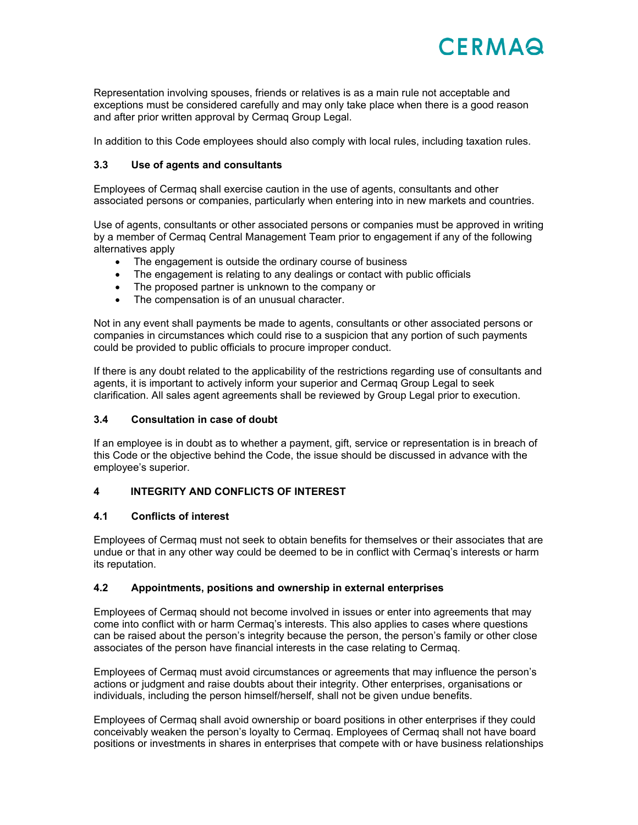

Representation involving spouses, friends or relatives is as a main rule not acceptable and exceptions must be considered carefully and may only take place when there is a good reason and after prior written approval by Cermaq Group Legal.

In addition to this Code employees should also comply with local rules, including taxation rules.

#### **3.3 Use of agents and consultants**

Employees of Cermaq shall exercise caution in the use of agents, consultants and other associated persons or companies, particularly when entering into in new markets and countries.

Use of agents, consultants or other associated persons or companies must be approved in writing by a member of Cermaq Central Management Team prior to engagement if any of the following alternatives apply

- The engagement is outside the ordinary course of business
- The engagement is relating to any dealings or contact with public officials
- The proposed partner is unknown to the company or
- The compensation is of an unusual character.

Not in any event shall payments be made to agents, consultants or other associated persons or companies in circumstances which could rise to a suspicion that any portion of such payments could be provided to public officials to procure improper conduct.

If there is any doubt related to the applicability of the restrictions regarding use of consultants and agents, it is important to actively inform your superior and Cermaq Group Legal to seek clarification. All sales agent agreements shall be reviewed by Group Legal prior to execution.

#### **3.4 Consultation in case of doubt**

If an employee is in doubt as to whether a payment, gift, service or representation is in breach of this Code or the objective behind the Code, the issue should be discussed in advance with the employee's superior.

#### **4 INTEGRITY AND CONFLICTS OF INTEREST**

#### **4.1 Conflicts of interest**

Employees of Cermaq must not seek to obtain benefits for themselves or their associates that are undue or that in any other way could be deemed to be in conflict with Cermaq's interests or harm its reputation.

#### **4.2 Appointments, positions and ownership in external enterprises**

Employees of Cermaq should not become involved in issues or enter into agreements that may come into conflict with or harm Cermaq's interests. This also applies to cases where questions can be raised about the person's integrity because the person, the person's family or other close associates of the person have financial interests in the case relating to Cermaq.

Employees of Cermaq must avoid circumstances or agreements that may influence the person's actions or judgment and raise doubts about their integrity. Other enterprises, organisations or individuals, including the person himself/herself, shall not be given undue benefits.

Employees of Cermaq shall avoid ownership or board positions in other enterprises if they could conceivably weaken the person's loyalty to Cermaq. Employees of Cermaq shall not have board positions or investments in shares in enterprises that compete with or have business relationships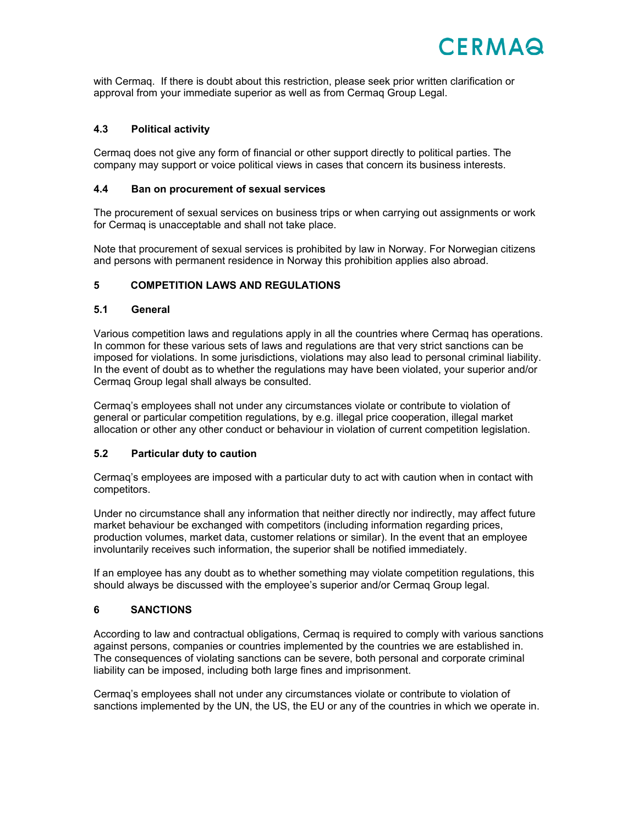

with Cermaq. If there is doubt about this restriction, please seek prior written clarification or approval from your immediate superior as well as from Cermaq Group Legal.

#### **4.3 Political activity**

Cermaq does not give any form of financial or other support directly to political parties. The company may support or voice political views in cases that concern its business interests.

#### **4.4 Ban on procurement of sexual services**

The procurement of sexual services on business trips or when carrying out assignments or work for Cermaq is unacceptable and shall not take place.

Note that procurement of sexual services is prohibited by law in Norway. For Norwegian citizens and persons with permanent residence in Norway this prohibition applies also abroad.

#### **5 COMPETITION LAWS AND REGULATIONS**

#### **5.1 General**

Various competition laws and regulations apply in all the countries where Cermaq has operations. In common for these various sets of laws and regulations are that very strict sanctions can be imposed for violations. In some jurisdictions, violations may also lead to personal criminal liability. In the event of doubt as to whether the regulations may have been violated, your superior and/or Cermaq Group legal shall always be consulted.

Cermaq's employees shall not under any circumstances violate or contribute to violation of general or particular competition regulations, by e.g. illegal price cooperation, illegal market allocation or other any other conduct or behaviour in violation of current competition legislation.

#### **5.2 Particular duty to caution**

Cermaq's employees are imposed with a particular duty to act with caution when in contact with competitors.

Under no circumstance shall any information that neither directly nor indirectly, may affect future market behaviour be exchanged with competitors (including information regarding prices, production volumes, market data, customer relations or similar). In the event that an employee involuntarily receives such information, the superior shall be notified immediately.

If an employee has any doubt as to whether something may violate competition regulations, this should always be discussed with the employee's superior and/or Cermaq Group legal.

#### **6 SANCTIONS**

According to law and contractual obligations, Cermaq is required to comply with various sanctions against persons, companies or countries implemented by the countries we are established in. The consequences of violating sanctions can be severe, both personal and corporate criminal liability can be imposed, including both large fines and imprisonment.

Cermaq's employees shall not under any circumstances violate or contribute to violation of sanctions implemented by the UN, the US, the EU or any of the countries in which we operate in.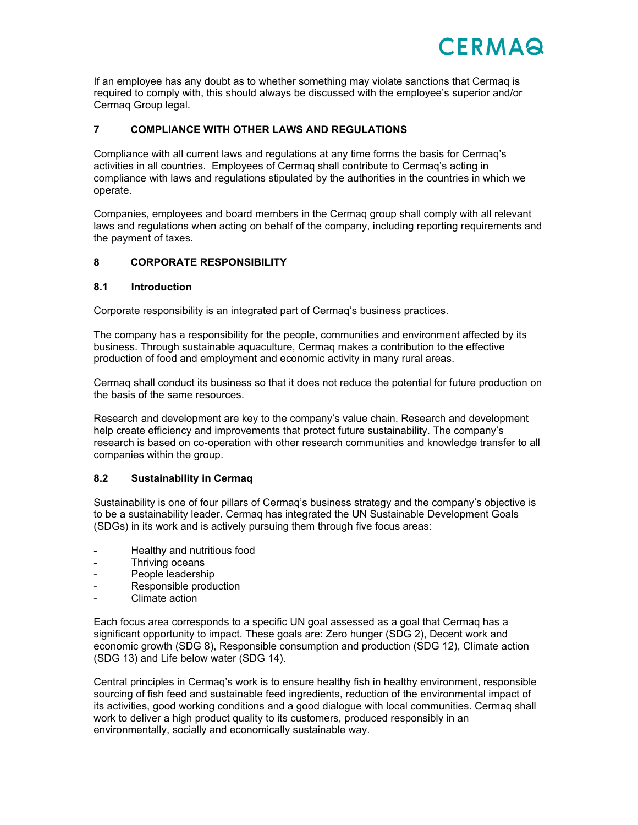

If an employee has any doubt as to whether something may violate sanctions that Cermaq is required to comply with, this should always be discussed with the employee's superior and/or Cermaq Group legal.

#### **7 COMPLIANCE WITH OTHER LAWS AND REGULATIONS**

Compliance with all current laws and regulations at any time forms the basis for Cermaq's activities in all countries. Employees of Cermaq shall contribute to Cermaq's acting in compliance with laws and regulations stipulated by the authorities in the countries in which we operate.

Companies, employees and board members in the Cermaq group shall comply with all relevant laws and regulations when acting on behalf of the company, including reporting requirements and the payment of taxes.

#### **8 CORPORATE RESPONSIBILITY**

#### **8.1 Introduction**

Corporate responsibility is an integrated part of Cermaq's business practices.

The company has a responsibility for the people, communities and environment affected by its business. Through sustainable aquaculture, Cermaq makes a contribution to the effective production of food and employment and economic activity in many rural areas.

Cermaq shall conduct its business so that it does not reduce the potential for future production on the basis of the same resources.

Research and development are key to the company's value chain. Research and development help create efficiency and improvements that protect future sustainability. The company's research is based on co-operation with other research communities and knowledge transfer to all companies within the group.

#### **8.2 Sustainability in Cermaq**

Sustainability is one of four pillars of Cermaq's business strategy and the company's objective is to be a sustainability leader. Cermaq has integrated the UN Sustainable Development Goals (SDGs) in its work and is actively pursuing them through five focus areas:

- Healthy and nutritious food
- Thriving oceans
- People leadership
- Responsible production
- Climate action

Each focus area corresponds to a specific UN goal assessed as a goal that Cermaq has a significant opportunity to impact. These goals are: Zero hunger (SDG 2), Decent work and economic growth (SDG 8), Responsible consumption and production (SDG 12), Climate action (SDG 13) and Life below water (SDG 14).

Central principles in Cermaq's work is to ensure healthy fish in healthy environment, responsible sourcing of fish feed and sustainable feed ingredients, reduction of the environmental impact of its activities, good working conditions and a good dialogue with local communities. Cermaq shall work to deliver a high product quality to its customers, produced responsibly in an environmentally, socially and economically sustainable way.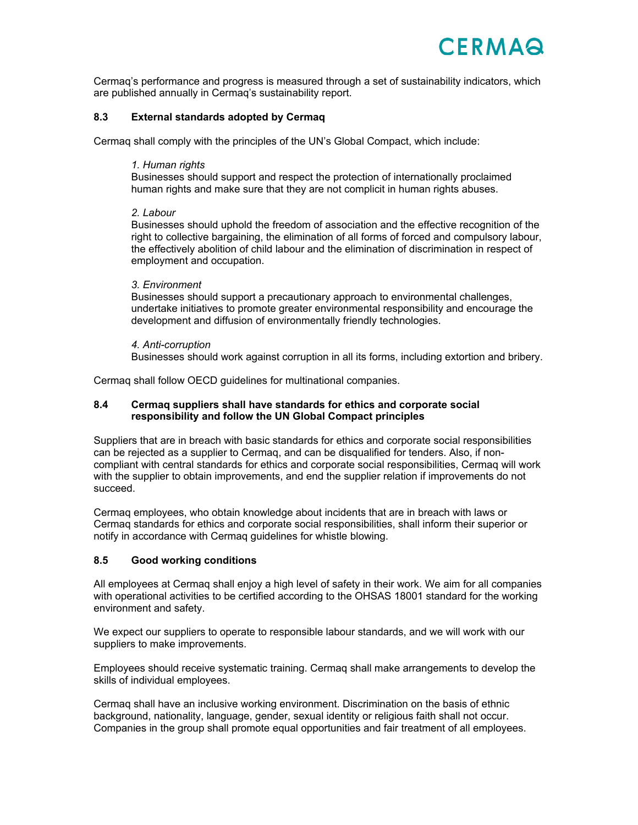## CFRMAQ

Cermaq's performance and progress is measured through a set of sustainability indicators, which are published annually in Cermaq's sustainability report.

#### **8.3 External standards adopted by Cermaq**

Cermaq shall comply with the principles of the UN's Global Compact, which include:

#### *1. Human rights*

Businesses should support and respect the protection of internationally proclaimed human rights and make sure that they are not complicit in human rights abuses.

#### *2. Labour*

Businesses should uphold the freedom of association and the effective recognition of the right to collective bargaining, the elimination of all forms of forced and compulsory labour, the effectively abolition of child labour and the elimination of discrimination in respect of employment and occupation.

#### *3. Environment*

Businesses should support a precautionary approach to environmental challenges, undertake initiatives to promote greater environmental responsibility and encourage the development and diffusion of environmentally friendly technologies.

#### *4. Anti-corruption*

Businesses should work against corruption in all its forms, including extortion and bribery.

Cermaq shall follow OECD guidelines for multinational companies.

#### **8.4 Cermaq suppliers shall have standards for ethics and corporate social responsibility and follow the UN Global Compact principles**

Suppliers that are in breach with basic standards for ethics and corporate social responsibilities can be rejected as a supplier to Cermaq, and can be disqualified for tenders. Also, if noncompliant with central standards for ethics and corporate social responsibilities, Cermaq will work with the supplier to obtain improvements, and end the supplier relation if improvements do not succeed.

Cermaq employees, who obtain knowledge about incidents that are in breach with laws or Cermaq standards for ethics and corporate social responsibilities, shall inform their superior or notify in accordance with Cermaq guidelines for whistle blowing.

#### **8.5 Good working conditions**

All employees at Cermaq shall enjoy a high level of safety in their work. We aim for all companies with operational activities to be certified according to the OHSAS 18001 standard for the working environment and safety.

We expect our suppliers to operate to responsible labour standards, and we will work with our suppliers to make improvements.

Employees should receive systematic training. Cermaq shall make arrangements to develop the skills of individual employees.

Cermaq shall have an inclusive working environment. Discrimination on the basis of ethnic background, nationality, language, gender, sexual identity or religious faith shall not occur. Companies in the group shall promote equal opportunities and fair treatment of all employees.